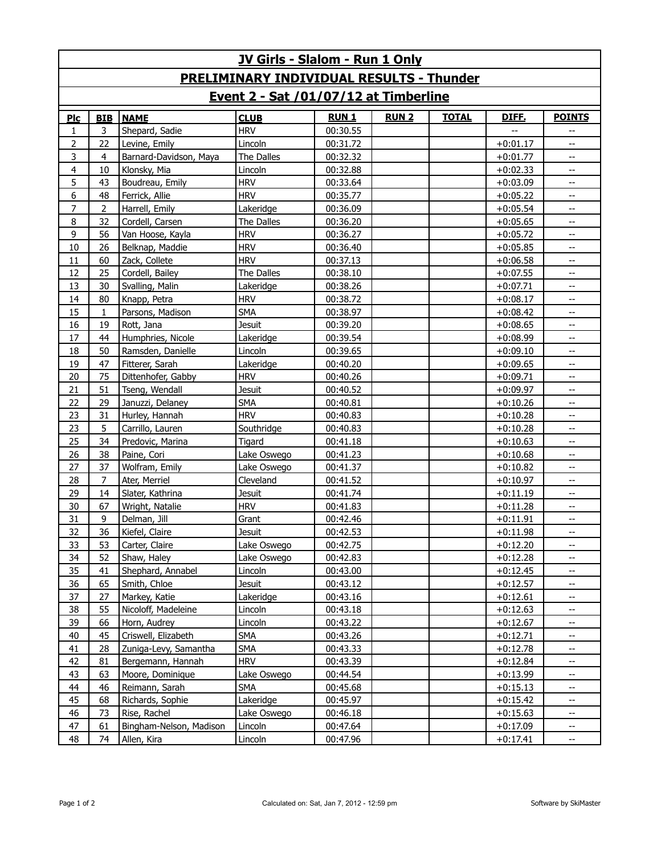| <b>JV Girls - Slalom - Run 1 Only</b>           |            |                         |               |             |             |              |            |                          |  |  |  |  |  |
|-------------------------------------------------|------------|-------------------------|---------------|-------------|-------------|--------------|------------|--------------------------|--|--|--|--|--|
| <b>PRELIMINARY INDIVIDUAL RESULTS - Thunder</b> |            |                         |               |             |             |              |            |                          |  |  |  |  |  |
| Event 2 - Sat /01/07/12 at Timberline           |            |                         |               |             |             |              |            |                          |  |  |  |  |  |
| Plc                                             | <b>BIB</b> | <b>NAME</b>             | <b>CLUB</b>   | <b>RUN1</b> | <b>RUN2</b> | <b>TOTAL</b> | DIFF.      | <b>POINTS</b>            |  |  |  |  |  |
| 1                                               | 3          | Shepard, Sadie          | <b>HRV</b>    | 00:30.55    |             |              |            |                          |  |  |  |  |  |
| $\overline{2}$                                  | 22         | Levine, Emily           | Lincoln       | 00:31.72    |             |              | $+0:01.17$ | --                       |  |  |  |  |  |
| 3                                               | 4          | Barnard-Davidson, Maya  | The Dalles    | 00:32.32    |             |              | $+0:01.77$ | --                       |  |  |  |  |  |
| $\overline{4}$                                  | 10         | Klonsky, Mia            | Lincoln       | 00:32.88    |             |              | $+0:02.33$ | $-$                      |  |  |  |  |  |
| 5                                               | 43         | Boudreau, Emily         | <b>HRV</b>    | 00:33.64    |             |              | $+0:03.09$ | --                       |  |  |  |  |  |
| 6                                               | 48         | Ferrick, Allie          | <b>HRV</b>    | 00:35.77    |             |              | $+0:05.22$ | $-$                      |  |  |  |  |  |
| $\overline{7}$                                  | 2          | Harrell, Emily          | Lakeridge     | 00:36.09    |             |              | $+0:05.54$ | --                       |  |  |  |  |  |
| 8                                               | 32         | Cordell, Carsen         | The Dalles    | 00:36.20    |             |              | $+0:05.65$ | --                       |  |  |  |  |  |
| 9                                               | 56         | Van Hoose, Kayla        | <b>HRV</b>    | 00:36.27    |             |              | $+0:05.72$ | $\overline{\phantom{a}}$ |  |  |  |  |  |
| 10                                              | 26         | Belknap, Maddie         | <b>HRV</b>    | 00:36.40    |             |              | $+0:05.85$ | --                       |  |  |  |  |  |
| 11                                              | 60         | Zack, Collete           | <b>HRV</b>    | 00:37.13    |             |              | $+0:06.58$ | $-$                      |  |  |  |  |  |
| 12                                              | 25         | Cordell, Bailey         | The Dalles    | 00:38.10    |             |              | $+0:07.55$ | --                       |  |  |  |  |  |
| 13                                              | 30         | Svalling, Malin         | Lakeridge     | 00:38.26    |             |              | $+0:07.71$ | --                       |  |  |  |  |  |
| 14                                              | 80         | Knapp, Petra            | <b>HRV</b>    | 00:38.72    |             |              | $+0:08.17$ | $-$                      |  |  |  |  |  |
| 15                                              | 1          | Parsons, Madison        | <b>SMA</b>    | 00:38.97    |             |              | $+0:08.42$ | --                       |  |  |  |  |  |
| 16                                              | 19         | Rott, Jana              | <b>Jesuit</b> | 00:39.20    |             |              | $+0:08.65$ | $-$                      |  |  |  |  |  |
| 17                                              | 44         | Humphries, Nicole       | Lakeridge     | 00:39.54    |             |              | $+0:08.99$ | --                       |  |  |  |  |  |
| 18                                              | 50         | Ramsden, Danielle       | Lincoln       | 00:39.65    |             |              | $+0:09.10$ | --                       |  |  |  |  |  |
| 19                                              | 47         | Fitterer, Sarah         | Lakeridge     | 00:40.20    |             |              | $+0:09.65$ | $-$                      |  |  |  |  |  |
| 20                                              | 75         | Dittenhofer, Gabby      | <b>HRV</b>    | 00:40.26    |             |              | $+0:09.71$ | --                       |  |  |  |  |  |
| 21                                              | 51         | Tseng, Wendall          | <b>Jesuit</b> | 00:40.52    |             |              | $+0:09.97$ | $-$                      |  |  |  |  |  |
| 22                                              | 29         | Januzzi, Delaney        | <b>SMA</b>    | 00:40.81    |             |              | $+0:10.26$ | --                       |  |  |  |  |  |
| 23                                              | 31         | Hurley, Hannah          | <b>HRV</b>    | 00:40.83    |             |              | $+0:10.28$ | $-$                      |  |  |  |  |  |
| 23                                              | 5          | Carrillo, Lauren        | Southridge    | 00:40.83    |             |              | $+0:10.28$ | --                       |  |  |  |  |  |
| 25                                              | 34         | Predovic, Marina        | Tigard        | 00:41.18    |             |              | $+0:10.63$ | --                       |  |  |  |  |  |
| 26                                              | 38         | Paine, Cori             | Lake Oswego   | 00:41.23    |             |              | $+0:10.68$ | $\overline{\phantom{a}}$ |  |  |  |  |  |
| 27                                              | 37         | Wolfram, Emily          | Lake Oswego   | 00:41.37    |             |              | $+0:10.82$ | --                       |  |  |  |  |  |
| 28                                              | 7          | Ater, Merriel           | Cleveland     | 00:41.52    |             |              | $+0:10.97$ | $-$                      |  |  |  |  |  |
| 29                                              | 14         | Slater, Kathrina        | Jesuit        | 00:41.74    |             |              | $+0:11.19$ | --                       |  |  |  |  |  |
| 30                                              | 67         | Wright, Natalie         | <b>HRV</b>    | 00:41.83    |             |              | $+0:11.28$ | --                       |  |  |  |  |  |
| 31                                              | 9          | Delman, Jill            | Grant         | 00:42.46    |             |              | $+0:11.91$ | $-$                      |  |  |  |  |  |
| 32                                              | 36         | Kiefel, Claire          | Jesuit        | 00:42.53    |             |              | $+0:11.98$ |                          |  |  |  |  |  |
| 33                                              | 53         | Carter, Claire          | Lake Oswego   | 00:42.75    |             |              | $+0:12.20$ | --                       |  |  |  |  |  |
| 34                                              | 52         | Shaw, Haley             | Lake Oswego   | 00:42.83    |             |              | $+0:12.28$ | --                       |  |  |  |  |  |
| 35                                              | 41         | Shephard, Annabel       | Lincoln       | 00:43.00    |             |              | $+0:12.45$ |                          |  |  |  |  |  |
| 36                                              | 65         | Smith, Chloe            | <b>Jesuit</b> | 00:43.12    |             |              | $+0:12.57$ | $-$                      |  |  |  |  |  |
| 37                                              | 27         | Markey, Katie           | Lakeridge     | 00:43.16    |             |              | $+0:12.61$ | --                       |  |  |  |  |  |
| 38                                              | 55         | Nicoloff, Madeleine     | Lincoln       | 00:43.18    |             |              | $+0:12.63$ |                          |  |  |  |  |  |
| 39                                              | 66         | Horn, Audrey            | Lincoln       | 00:43.22    |             |              | $+0:12.67$ | --                       |  |  |  |  |  |
| 40                                              | 45         | Criswell, Elizabeth     | SMA           | 00:43.26    |             |              | $+0:12.71$ |                          |  |  |  |  |  |
| 41                                              | 28         | Zuniga-Levy, Samantha   | <b>SMA</b>    | 00:43.33    |             |              | $+0:12.78$ | --                       |  |  |  |  |  |
| 42                                              | 81         | Bergemann, Hannah       | <b>HRV</b>    | 00:43.39    |             |              | $+0:12.84$ | --                       |  |  |  |  |  |
| 43                                              | 63         | Moore, Dominique        | Lake Oswego   | 00:44.54    |             |              | $+0:13.99$ | --                       |  |  |  |  |  |
| 44                                              | 46         | Reimann, Sarah          | <b>SMA</b>    | 00:45.68    |             |              | $+0:15.13$ | --                       |  |  |  |  |  |
| 45                                              | 68         | Richards, Sophie        | Lakeridge     | 00:45.97    |             |              | $+0:15.42$ |                          |  |  |  |  |  |
| 46                                              | 73         | Rise, Rachel            | Lake Oswego   | 00:46.18    |             |              | $+0:15.63$ | --                       |  |  |  |  |  |
| 47                                              | 61         | Bingham-Nelson, Madison | Lincoln       | 00:47.64    |             |              | $+0:17.09$ | $\overline{\phantom{a}}$ |  |  |  |  |  |
| 48                                              | 74         | Allen, Kira             | Lincoln       | 00:47.96    |             |              | $+0:17.41$ | $\overline{\phantom{a}}$ |  |  |  |  |  |